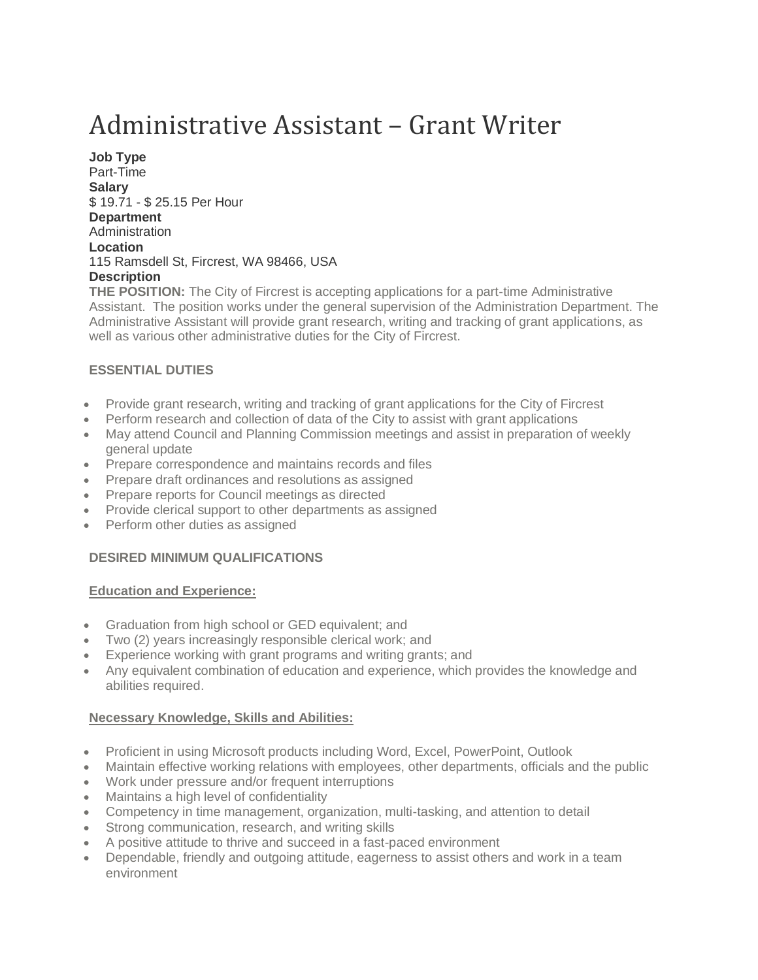# Administrative Assistant – Grant Writer

**Job Type** Part-Time **Salary** \$ 19.71 - \$ 25.15 Per Hour **Department Administration Location** 115 Ramsdell St, Fircrest, WA 98466, USA **Description**

**THE POSITION:** The City of Fircrest is accepting applications for a part-time Administrative Assistant. The position works under the general supervision of the Administration Department. The Administrative Assistant will provide grant research, writing and tracking of grant applications, as well as various other administrative duties for the City of Fircrest.

# **ESSENTIAL DUTIES**

- Provide grant research, writing and tracking of grant applications for the City of Fircrest
- Perform research and collection of data of the City to assist with grant applications
- May attend Council and Planning Commission meetings and assist in preparation of weekly general update
- Prepare correspondence and maintains records and files
- Prepare draft ordinances and resolutions as assigned
- Prepare reports for Council meetings as directed
- Provide clerical support to other departments as assigned
- Perform other duties as assigned

## **DESIRED MINIMUM QUALIFICATIONS**

#### **Education and Experience:**

- Graduation from high school or GED equivalent; and
- Two (2) years increasingly responsible clerical work; and
- Experience working with grant programs and writing grants; and
- Any equivalent combination of education and experience, which provides the knowledge and abilities required.

## **Necessary Knowledge, Skills and Abilities:**

- Proficient in using Microsoft products including Word, Excel, PowerPoint, Outlook
- Maintain effective working relations with employees, other departments, officials and the public
- Work under pressure and/or frequent interruptions
- Maintains a high level of confidentiality
- Competency in time management, organization, multi-tasking, and attention to detail
- Strong communication, research, and writing skills
- A positive attitude to thrive and succeed in a fast-paced environment
- Dependable, friendly and outgoing attitude, eagerness to assist others and work in a team environment